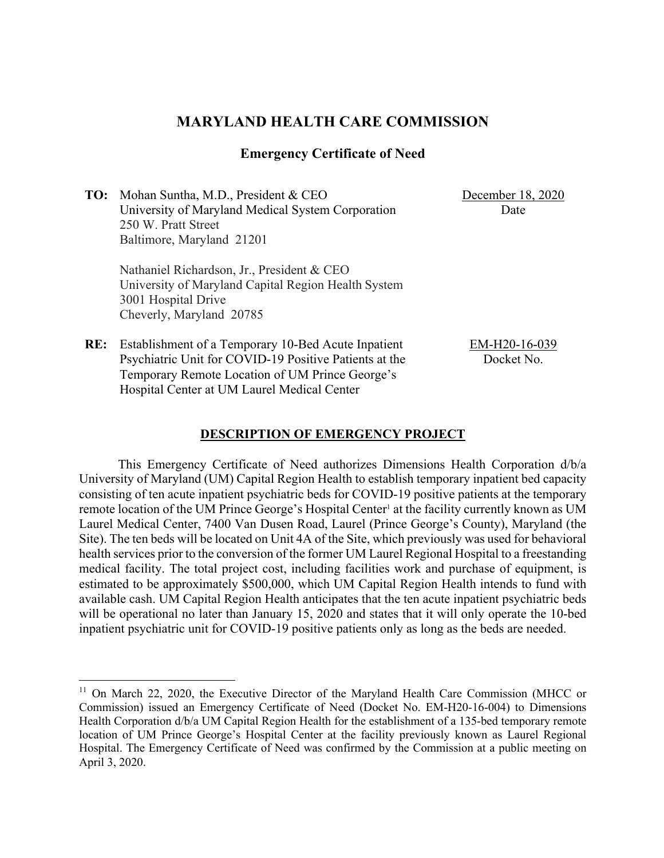# **MARYLAND HEALTH CARE COMMISSION**

## **Emergency Certificate of Need**

**TO:** Mohan Suntha, M.D., President & CEO University of Maryland Medical System Corporation 250 W. Pratt Street Baltimore, Maryland 21201

December 18, 2020 Date

Nathaniel Richardson, Jr., President & CEO University of Maryland Capital Region Health System 3001 Hospital Drive Cheverly, Maryland 20785

**RE:** Establishment of a Temporary 10-Bed Acute Inpatient Psychiatric Unit for COVID-19 Positive Patients at the Temporary Remote Location of UM Prince George's Hospital Center at UM Laurel Medical Center

EM-H20-16-039 Docket No.

#### **DESCRIPTION OF EMERGENCY PROJECT**

This Emergency Certificate of Need authorizes Dimensions Health Corporation d/b/a University of Maryland (UM) Capital Region Health to establish temporary inpatient bed capacity consisting of ten acute inpatient psychiatric beds for COVID-19 positive patients at the temporary remote location of the UM Prince George's Hospital Center<sup>1</sup> at the facility currently known as UM Laurel Medical Center, 7400 Van Dusen Road, Laurel (Prince George's County), Maryland (the Site). The ten beds will be located on Unit 4A of the Site, which previously was used for behavioral health services prior to the conversion of the former UM Laurel Regional Hospital to a freestanding medical facility. The total project cost, including facilities work and purchase of equipment, is estimated to be approximately \$500,000, which UM Capital Region Health intends to fund with available cash. UM Capital Region Health anticipates that the ten acute inpatient psychiatric beds will be operational no later than January 15, 2020 and states that it will only operate the 10-bed inpatient psychiatric unit for COVID-19 positive patients only as long as the beds are needed.

<sup>&</sup>lt;sup>11</sup> On March 22, 2020, the Executive Director of the Maryland Health Care Commission (MHCC or Commission) issued an Emergency Certificate of Need (Docket No. EM-H20-16-004) to Dimensions Health Corporation d/b/a UM Capital Region Health for the establishment of a 135-bed temporary remote location of UM Prince George's Hospital Center at the facility previously known as Laurel Regional Hospital. The Emergency Certificate of Need was confirmed by the Commission at a public meeting on April 3, 2020.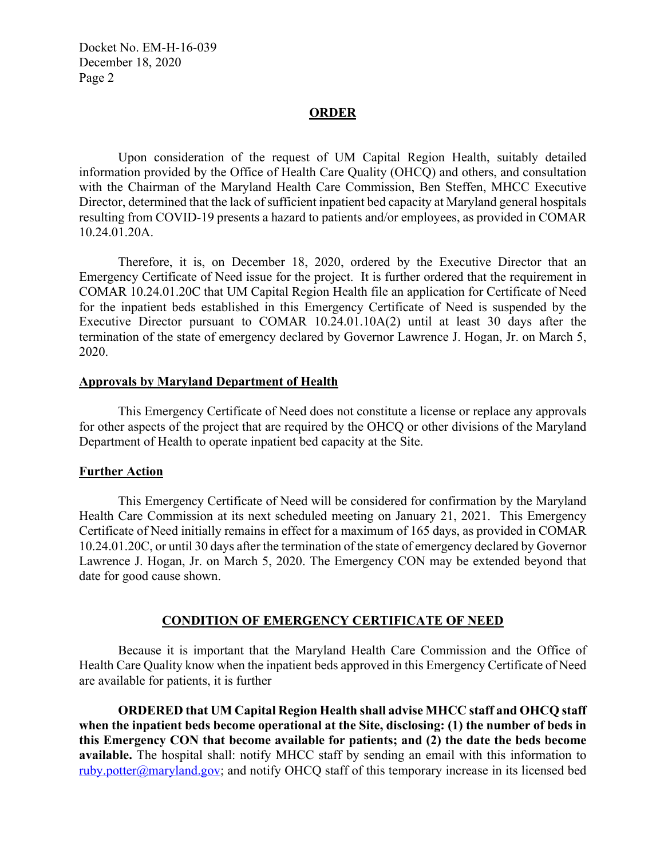Docket No. EM-H-16-039 December 18, 2020 Page 2

#### **ORDER**

Upon consideration of the request of UM Capital Region Health, suitably detailed information provided by the Office of Health Care Quality (OHCQ) and others, and consultation with the Chairman of the Maryland Health Care Commission, Ben Steffen, MHCC Executive Director, determined that the lack of sufficient inpatient bed capacity at Maryland general hospitals resulting from COVID-19 presents a hazard to patients and/or employees, as provided in COMAR 10.24.01.20A.

Therefore, it is, on December 18, 2020, ordered by the Executive Director that an Emergency Certificate of Need issue for the project. It is further ordered that the requirement in COMAR 10.24.01.20C that UM Capital Region Health file an application for Certificate of Need for the inpatient beds established in this Emergency Certificate of Need is suspended by the Executive Director pursuant to COMAR 10.24.01.10A(2) until at least 30 days after the termination of the state of emergency declared by Governor Lawrence J. Hogan, Jr. on March 5, 2020.

#### **Approvals by Maryland Department of Health**

This Emergency Certificate of Need does not constitute a license or replace any approvals for other aspects of the project that are required by the OHCQ or other divisions of the Maryland Department of Health to operate inpatient bed capacity at the Site.

### **Further Action**

This Emergency Certificate of Need will be considered for confirmation by the Maryland Health Care Commission at its next scheduled meeting on January 21, 2021. This Emergency Certificate of Need initially remains in effect for a maximum of 165 days, as provided in COMAR 10.24.01.20C, or until 30 days after the termination of the state of emergency declared by Governor Lawrence J. Hogan, Jr. on March 5, 2020. The Emergency CON may be extended beyond that date for good cause shown.

### **CONDITION OF EMERGENCY CERTIFICATE OF NEED**

Because it is important that the Maryland Health Care Commission and the Office of Health Care Quality know when the inpatient beds approved in this Emergency Certificate of Need are available for patients, it is further

**ORDERED that UM Capital Region Health shall advise MHCC staff and OHCQ staff when the inpatient beds become operational at the Site, disclosing: (1) the number of beds in this Emergency CON that become available for patients; and (2) the date the beds become available.** The hospital shall: notify MHCC staff by sending an email with this information to ruby.potter@maryland.gov; and notify OHCQ staff of this temporary increase in its licensed bed